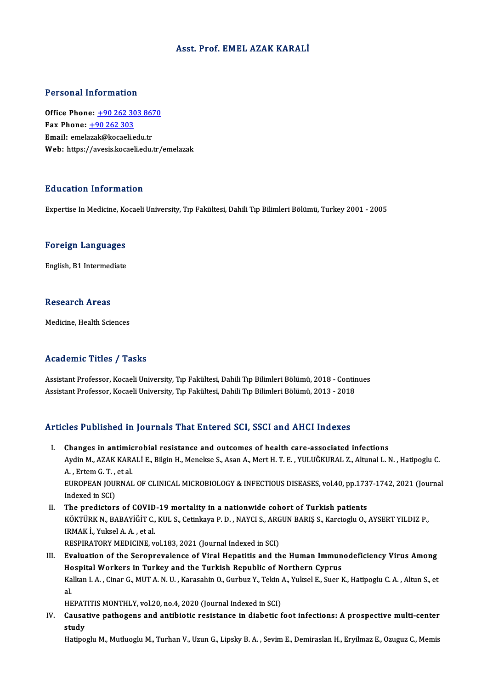#### Asst. Prof. EMEL AZAK KARALİ

#### Personal Information

Personal Information<br>Office Phone: <u>+90 262 303 8670</u><br>Fax Phone: 190 262 202 Fax Phone:  $\pm 90$  262 303<br>Email: emelazak@kocaeli.edu.tr Office Phone: <u>+90 262 303 867</u><br>Fax Phone: <u>+90 262 303</u><br>Email: emel[azak@kocaeli.](tel:+90 262 303)[edu.tr](tel:+90 262 303 8670)<br>Web: https://avesial.pesali.edu.tr Web: https://avesis.kocaeli.edu.tr/emelazak

#### Education Information

Expertise In Medicine, Kocaeli University, Tıp Fakültesi, Dahili Tıp Bilimleri Bölümü, Turkey 2001 - 2005

# experuse in medicine, Ko<br>Foreign Languages F<mark>oreign Languages</mark><br>English, B1 Intermediate

English, B1 Intermediate<br>Research Areas

Medicine, Health Sciences

#### Academic Titles / Tasks

Academic Titles / Tasks<br>Assistant Professor, Kocaeli University, Tıp Fakültesi, Dahili Tıp Bilimleri Bölümü, 2018 - Continues<br>Assistant Professor, Kocaeli University, Tıp Fakültesi, Dahili Tıp Bilimleri Bölümü, 2013 - 2019 110aa SIII o 11008 7<br>Assistant Professor, Kocaeli University, Tıp Fakültesi, Dahili Tıp Bilimleri Bölümü, 2018 - Contir<br>Assistant Professor, Kocaeli University, Tıp Fakültesi, Dahili Tıp Bilimleri Bölümü, 2013 - 2018 Assistant Professor, Kocaeli University, Tıp Fakültesi, Dahili Tıp Bilimleri Bölümü, 2013 - 2018<br>Articles Published in Journals That Entered SCI, SSCI and AHCI Indexes

- I. Changes in antimicrobial resistance and outcomes of health care-associated infections Ates I dishished in journals That Entered Ser, 8861 and Infer Indence<br>Changes in antimicrobial resistance and outcomes of health care-associated infections<br>Aydin M., AZAK KARALİ E., Bilgin H., Menekse S., Asan A., Mert H. **Changes in antimic<br>Aydin M., AZAK KAR.<br>A. , Ertem G. T. , et al.**<br>EUROPEAN JOUPNAL Aydin M., AZAK KARALİ E., Bilgin H., Menekse S., Asan A., Mert H. T. E. , YULUĞKURAL Z., Altunal L. N. , Hatipoglu C.<br>A. , Ertem G. T. , et al.<br>EUROPEAN JOURNAL OF CLINICAL MICROBIOLOGY & INFECTIOUS DISEASES, vol.40, pp.17 A. , Ertem G. T. ,<br>EUROPEAN JOU!<br>Indexed in SCI)<br>The predister EUROPEAN JOURNAL OF CLINICAL MICROBIOLOGY & INFECTIOUS DISEASES, vol.40, pp.173<br>Indexed in SCI)<br>II. The predictors of COVID-19 mortality in a nationwide cohort of Turkish patients<br> $V_{\text{OVTIDEN N-PAPAV}}^{SUTIDV N-PAPAVIČIT} C_VIII S. Gctinlav2 P$
- Indexed in SCI)<br>The predictors of COVID-19 mortality in a nationwide cohort of Turkish patients<br>KÖKTÜRK N., BABAYİĞİT C., KUL S., Cetinkaya P. D. , NAYCI S., ARGUN BARIŞ S., Karcioglu O., AYSERT YILDIZ P.,<br>IRMAK İ., Yuksel II. The predictors of COVID-19 mortality in a nationwide cohort of Turkish patients RESPIRATORY MEDICINE, vol.183, 2021 (Journal Indexed in SCI)

III. Evaluation of the Seroprevalence of Viral Hepatitis and the Human Immunodeficiency Virus Among Hospital Workers in Turkey and the Turkish Republic of Northern Cyprus Evaluation of the Seroprevalence of Viral Hepatitis and the Human Immunodeficiency Virus Among<br>Hospital Workers in Turkey and the Turkish Republic of Northern Cyprus<br>Kalkan I. A. , Cinar G., MUT A. N. U. , Karasahin O., Gu Hc<br>Ka<br>al<br>HE Kalkan I. A. , Cinar G., MUT A. N. U. , Karasahin O., Gurbuz Y., Tekin .<br>al.<br>HEPATITIS MONTHLY, vol.20, no.4, 2020 (Journal Indexed in SCI)<br>Cousative nathegans and antibiotic resistance in diphotic f

HEPATITIS MONTHLY, vol.20, no.4, 2020 (Journal Indexed in SCI)

al.<br>HEPATITIS MONTHLY, vol.20, no.4, 2020 (Journal Indexed in SCI)<br>IV. Causative pathogens and antibiotic resistance in diabetic foot infections: A prospective multi-center<br>study

Hatipoglu M., Mutluoglu M., Turhan V., Uzun G., Lipsky B. A., Sevim E., Demiraslan H., Eryilmaz E., Ozuguz C., Memis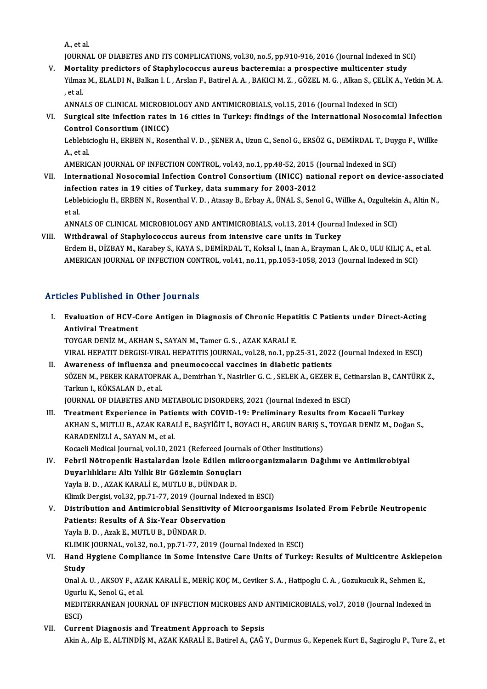A.,etal.

A., et al.<br>JOURNAL OF DIABETES AND ITS COMPLICATIONS, vol.30, no.5, pp.910-916, 2016 (Journal Indexed in SCI)<br>Mortality anodistans of Stanbulage saus, aunque basteromia: a prespective multisenter study.

A., et al.<br>JOURNAL OF DIABETES AND ITS COMPLICATIONS, vol.30, no.5, pp.910-916, 2016 (Journal Indexed in SC<br>V. Mortality predictors of Staphylococcus aureus bacteremia: a prospective multicenter study<br>Vilmag M. ELALDI N. B JOURNAL OF DIABETES AND ITS COMPLICATIONS, vol.30, no.5, pp.910-916, 2016 (Journal Indexed in SCI)<br>Mortality predictors of Staphylococcus aureus bacteremia: a prospective multicenter study<br>Yilmaz M., ELALDI N., Balkan I. I Morta<br>Yilmaz<br>, et al. Yilmaz M., ELALDI N., Balkan I. I. , Arslan F., Batirel A. A. , BAKICI M. Z. , GÖZEL M. G. , Alkan S., ÇELİK A., Yetkin M. A.<br>, et al.<br>ANNALS OF CLINICAL MICROBIOLOGY AND ANTIMICROBIALS, vol.15, 2016 (Journal Indexed in SC

, et al.<br>ANNALS OF CLINICAL MICROBIOLOGY AND ANTIMICROBIALS, vol.15, 2016 (Journal Indexed in SCI)<br>VI. Surgical site infection rates in 16 cities in Turkey: findings of the International Nosocomial Infection<br>Control Con ANNALS OF CLINICAL MICROBION<br>Surgical site infection rates<br>Control Consortium (INICC) Surgical site infection rates in 16 cities in Turkey: findings of the International Nosocomial Infection<br>Control Consortium (INICC)<br>Leblebicioglu H., ERBEN N., Rosenthal V. D. , ŞENER A., Uzun C., Senol G., ERSÖZ G., DEMİR

**Contro**<br>Leblebio<br>A., et al. Leblebicioglu H., ERBEN N., Rosenthal V. D. , ŞENER A., Uzun C., Senol G., ERSÖZ G., DEMİRDAL T., Duy<br>A., et al.<br>AMERICAN JOURNAL OF INFECTION CONTROL, vol.43, no.1, pp.48-52, 2015 (Journal Indexed in SCI)<br>International Ne

AMERICAN JOURNAL OF INFECTION CONTROL, vol.43, no.1, pp.48-52, 2015 (Journal Indexed in SCI)

- A., et al.<br>AMERICAN JOURNAL OF INFECTION CONTROL, vol.43, no.1, pp.48-52, 2015 (Journal Indexed in SCI)<br>VII. International Nosocomial Infection Control Consortium (INICC) national report on device-associated<br>infection rate International Nosocomial Infection Control Consortium (INICC) national report on device-associate<br>infection rates in 19 cities of Turkey, data summary for 2003-2012<br>Leblebicioglu H., ERBEN N., Rosenthal V. D. , Atasay B., i<mark>nfe</mark><br>Leble<br>et al. Leblebicioglu H., ERBEN N., Rosenthal V. D. , Atasay B., Erbay A., ÜNAL S., Senol G., Willke A., Ozgultekir<br>et al.<br>ANNALS OF CLINICAL MICROBIOLOGY AND ANTIMICROBIALS, vol.13, 2014 (Journal Indexed in SCI)<br>Withdrawal of Sta et al.<br>ANNALS OF CLINICAL MICROBIOLOGY AND ANTIMICROBIALS, vol.13, 2014 (Journal Indexed in SCI)<br>VIII. Withdrawal of Staphylococcus aureus from intensive care units in Turkey
- Erdem H., DİZBAY M., Karabey S., KAYA S., DEMİRDAL T., Koksal I., Inan A., Erayman I., Ak O., ULU KILIÇ A., et al. AMERICAN JOURNAL OF INFECTION CONTROL, vol.41, no.11, pp.1053-1058, 2013 (Journal Indexed in SCI)

#### Articles Published in Other Journals

rticles Published in Other Journals<br>I. Evaluation of HCV-Core Antigen in Diagnosis of Chronic Hepatitis C Patients under Direct-Acting<br>Antivizel Trectment Antiviral Treatment<br>Evaluation of HCV-C<br>Antiviral Treatment<br>TOVCAP DENIZ MARK Evaluation of HCV-Core Antigen in Diagnosis of Chronic Hepat<br>Antiviral Treatment<br>TOYGAR DENİZ M., AKHAN S., SAYAN M., Tamer G. S. , AZAK KARALİ E.<br>VIRAL HERATIT DERGISLYIRAL HERATITIS JOURNAL YOL28 no 1 nn . Antiviral Treatment<br>TOYGAR DENİZ M., AKHAN S., SAYAN M., Tamer G. S. , AZAK KARALİ E.<br>VIRAL HEPATIT DERGISI-VIRAL HEPATITIS JOURNAL, vol.28, no.1, pp.25-31, 2022 (Journal Indexed in ESCI)<br>Ayyaroness of influenze and nnoumo

TOYGAR DENIZ M., AKHAN S., SAYAN M., Tamer G. S., AZAK KARALI E.<br>VIRAL HEPATIT DERGISI-VIRAL HEPATITIS JOURNAL, vol.28, no.1, pp.25-31, 2022<br>II. Awareness of influenza and pneumococcal vaccines in diabetic patients<br>SÖZEN M VIRAL HEPATIT DERGISI-VIRAL HEPATITIS JOURNAL, vol.28, no.1, pp.25-31, 2022 (Journal Indexed in ESCI)<br><mark>Awareness of influenza and pneumococcal vaccines in diabetic patients</mark><br>SÖZEN M., PEKER KARATOPRAK A., Demirhan Y., Nasi Awareness of influenza an<br>SÖZEN M., PEKER KARATOPR.<br>Tarkun I., KÖKSALAN D., et al.<br>JOUPNAL OF DIAPETES AND I SÖZEN M., PEKER KARATOPRAK A., Demirhan Y., Nasirlier G. C. , SELEK A., GEZER E., Cet<br>Tarkun I., KÖKSALAN D., et al.<br>JOURNAL OF DIABETES AND METABOLIC DISORDERS, 2021 (Journal Indexed in ESCI)<br>Treatment Eunerianse in Patie Tarkun I., KÖKSALAN D., et al.<br>JOURNAL OF DIABETES AND METABOLIC DISORDERS, 2021 (Journal Indexed in ESCI)<br>III. Treatment Experience in Patients with COVID-19: Preliminary Results from Kocaeli Turkey<br>AKHAN S. MUTLU B. AZAK

JOURNAL OF DIABETES AND METABOLIC DISORDERS, 2021 (Journal Indexed in ESCI)<br>Treatment Experience in Patients with COVID-19: Preliminary Results from Kocaeli Turkey<br>AKHAN S., MUTLU B., AZAK KARALİ E., BAŞYİĞİT İ., BOYACI H. Treatment Experience in Patie<br>AKHAN S., MUTLU B., AZAK KARA<br>KARADENİZLİ A., SAYAN M., et al.<br>Kasasli Madisal Jaurnal val 10, 20 AKHAN S., MUTLU B., AZAK KARALI E., BAŞYIĞİT İ., BOYACI H., ARGUN BARIŞ S.<br>KARADENİZLİ A., SAYAN M., et al.<br>Kocaeli Medical Journal, vol.10, 2021 (Refereed Journals of Other Institutions)<br>Febril Nötnenenik Hestelenden İrel KARADENİZLİ A., SAYAN M., et al.<br>IV. Febril Medical Journal, vol.10, 2021 (Refereed Journals of Other Institutions)<br>IV. Febril Nötropenik Hastalardan İzole Edilen mikroorganizmaların Dağılımı ve Antimikrobiyal<br>Duvarlılıkla

- Kocaeli Medical Journal, vol.10, 2021 (Refereed Journ<br>Febril Nötropenik Hastalardan İzole Edilen mik<br>Duyarlılıkları: Altı Yıllık Bir Gözlemin Sonuçları<br>Yavla B.D., 474K KARALLE, MUTU U.R. DÜNDAR D Febril Nötropenik Hastalardan İzole Edilen mi<br>Duyarlılıkları: Altı Yıllık Bir Gözlemin Sonuçlar<br>Yayla B. D. , AZAK KARALİ E., MUTLU B., DÜNDAR D.<br>Klimik Dergisi vel 32 nn 71 77 2019 (Journal Index Duyarlılıkları: Altı Yıllık Bir Gözlemin Sonuçları<br>Yayla B. D. , AZAK KARALİ E., MUTLU B., DÜNDAR D.<br>Klimik Dergisi, vol.32, pp.71-77, 2019 (Journal Indexed in ESCI)<br>Distribution and Antimisrabial Sonsitivity of Misroersan
- Yayla B. D. , AZAK KARALİ E., MUTLU B., DÜNDAR D.<br>Klimik Dergisi, vol.32, pp.71-77, 2019 (Journal Indexed in ESCI)<br>V. Distribution and Antimicrobial Sensitivity of Microorganisms Isolated From Febrile Neutropenic<br>Patie Klimik Dergisi, vol.32, pp.71-77, 2019 (Journal Inc<br>Distribution and Antimicrobial Sensitivity of<br>Patients: Results of A Six-Year Observation<br>Yayla B D - Agak E - MITHU B - DÜNDAR D Distribution and Antimicrobial Sensiti<br>Patients: Results of A Six-Year Observ<br>Yayla B. D., Azak E., MUTLU B., DÜNDAR D.<br>VI IMIX IOUPNAL vel 32 no 1 nn 71 77 20 Patients: Results of A Six-Year Observation<br>Yayla B. D. , Azak E., MUTLU B., DÜNDAR D.<br>KLIMIK JOURNAL, vol.32, no.1, pp.71-77, 2019 (Journal Indexed in ESCI) Yayla B. D. , Azak E., MUTLU B., DÜNDAR D.<br>KLIMIK JOURNAL, vol.32, no.1, pp.71-77, 2019 (Journal Indexed in ESCI)<br>VI. Hand Hygiene Compliance in Some Intensive Care Units of Turkey: Results of Multicentre Asklepeion<br>St

## KLIMIF<br>Hand<br>Study<br>Opal A Hand Hygiene Compliance in Some Intensive Care Units of Turkey: Results of Multicentre Asklep<br>Study<br>Onal A. U. , AKSOY F., AZAK KARALİ E., MERİÇ KOÇ M., Ceviker S. A. , Hatipoglu C. A. , Gozukucuk R., Sehmen E.,<br>Hayrly K.

Study<br>Onal A. U. , AKSOY F., AZAK KARALİ E., MERİÇ KOÇ M., Ceviker S. A. , Hatipoglu C. A. , Gozukucuk R., Sehmen E.,<br>Ugurlu K., Senol G., et al. Onal A. U. , AKSOY F., AZAK KARALİ E., MERİÇ KOÇ M., Ceviker S. A. , Hatipoglu C. A. , Gozukucuk R., Sehmen E.,<br>Ugurlu K., Senol G., et al.<br>MEDITERRANEAN JOURNAL OF INFECTION MICROBES AND ANTIMICROBIALS, vol.7, 2018 (Journ

Ugurlu<br>MEDI<br>ESCI)<br>Gunne

ESCI)<br>VII. Current Diagnosis and Treatment Approach to Sepsis AkinA.,AlpE.,ALTINDİŞM.,AZAKKARALİE.,BatirelA.,ÇAĞY.,DurmusG.,KepenekKurtE.,SagirogluP.,Ture Z.,et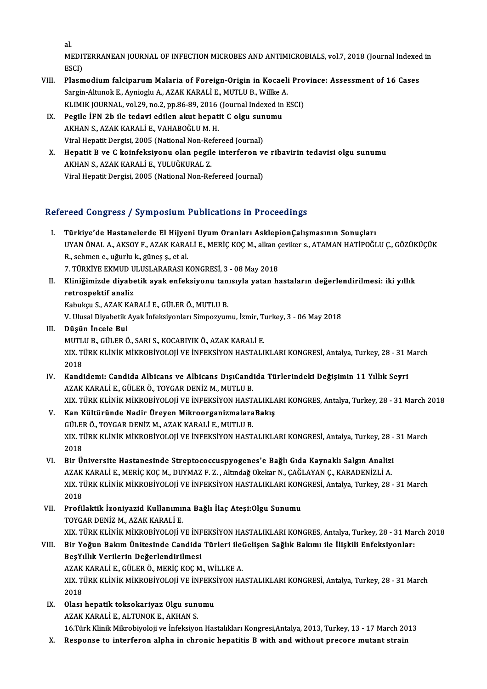al.

al.<br>MEDITERRANEAN JOURNAL OF INFECTION MICROBES AND ANTIMICROBIALS, vol.7, 2018 (Journal Indexed in<br>ESSI) al.<br>MEDI<sup>.</sup><br>ESCI)<br>Plasm MEDITERRANEAN JOURNAL OF INFECTION MICROBES AND ANTIMICROBIALS, vol.7, 2018 (Journal Indexed<br>ESCI)<br>VIII. Plasmodium falciparum Malaria of Foreign-Origin in Kocaeli Province: Assessment of 16 Cases<br>Sangin Altunal: E. Armiag

- ESCI)<br>Plasmodium falciparum Malaria of Foreign-Origin in Kocaeli<br>Sargin-Altunok E., Aynioglu A., AZAK KARALİ E., MUTLU B., Willke A.<br>KLIMIK JOUPNAL, vel 39, no 2, nn 96,99,2016 (Journal Indoved in L Plasmodium falciparum Malaria of Foreign-Origin in Kocaeli Pro<br>Sargin-Altunok E., Aynioglu A., AZAK KARALİ E., MUTLU B., Willke A.<br>KLIMIK JOURNAL, vol.29, no.2, pp.86-89, 2016 (Journal Indexed in ESCI)<br>Pogila İEN 2b ile to Sargin-Altunok E., Aynioglu A., AZAK KARALİ E., MUTLU B., Willke A<br>KLIMIK JOURNAL, vol.29, no.2, pp.86-89, 2016 (Journal Indexed in<br>IX. Pegile İFN 2b ile tedavi edilen akut hepatit C olgu sunumu
- KLIMIK JOURNAL, vol.29, no.2, pp.86-89, 2016<br>Pegile İFN 2b ile tedavi edilen akut hepat<br>AKHAN S., AZAK KARALİ E., VAHABOĞLU M. H.<br>Viral Hapatit Dergisi 2005 (National Nap Befa Pegile İFN 2b ile tedavi edilen akut hepatit C olgu sun<br>AKHAN S., AZAK KARALİ E., VAHABOĞLU M. H.<br>Viral Hepatit Dergisi, 2005 (National Non-Refereed Journal)<br>Hepatit B.ve G kainfeksiyonu olan negile interferen v.
- AKHAN S., AZAK KARALİ E., VAHABOĞLU M. H.<br>Viral Hepatit Dergisi, 2005 (National Non-Refereed Journal)<br>X. Hepatit B ve C koinfeksiyonu olan pegile interferon ve ribavirin tedavisi olgu sunumu<br>AKHAN S. AZAK KARALİ E. VII UĞK Viral Hepatit Dergisi, 2005 (National Non-Re<br>Hepatit B ve C koinfeksiyonu olan pegil<br>AKHAN S., AZAK KARALİ E., YULUĞKURAL Z.<br>Viral Hepatit Dergisi, 2005 (National Non-Be Hepatit B ve C koinfeksiyonu olan pegile interferon v<br>AKHAN S., AZAK KARALİ E., YULUĞKURAL Z.<br>Viral Hepatit Dergisi, 2005 (National Non-Refereed Journal)

# Viral Hepatit Dergisi, 2005 (National Non-Refereed Journal)<br>Refereed Congress / Symposium Publications in Proceedings

- I. Türkiye'de Hastanelerde El Hijyeni UyumOranları AsklepionÇalışmasının Sonuçları TÜCÜ ÖÖNETCES 7 GYMPOSTUM T ÜBREÜLEME IN TTÖCCÜMES<br>Türkiye'de Hastanelerde El Hijyeni Uyum Oranları AsklepionÇalışmasının Sonuçları<br>UYAN ÖNAL A., AKSOY F., AZAK KARALİ E., MERİÇ KOÇ M., alkan çeviker s., ATAMAN HATİPOĞLU Ç Türkiye'de Hastanelerde El Hijye:<br>UYAN ÖNAL A., AKSOY F., AZAK KARA<br>R., sehmen e., uğurlu k., güneş ş., et al.<br>7. TÜRKİVE EKMUD ULUSLARARASLK UYAN ÖNAL A., AKSOY F., AZAK KARALİ E., MERİÇ KOÇ M., alkan ç<br>R., sehmen e., uğurlu k., güneş ş., et al.<br>7. TÜRKİYE EKMUD ULUSLARARASI KONGRESİ, 3 - 08 May 2018<br>Kliniğimizde diyebetik ayek enfeksiyeny tanısıyla yetan bı R., sehmen e., uğurlu k., güneş ş., et al.<br>7. TÜRKİYE EKMUD ULUSLARARASI KONGRESİ, 3 - 08 May 2018<br>II. Kliniğimizde diyabetik ayak enfeksiyonu tanısıyla yatan hastaların değerlendirilmesi: iki yıllık<br>retrospektif anali
- 7. TÜRKİYE EKMUD U<br>Kliniğimizde diyabe<br>retrospektif analiz<br>Kabuksu S. AZAK KAL Kliniğimizde diyabetik ayak enfeksiyonu tan<br>retrospektif analiz<br>Kabukçu S., AZAK KARALİ E., GÜLER Ö., MUTLU B.<br>V. Ulusel Divebetik Avek İnfeksiyenler: Simpezzur retrospektif analiz<br>Kabukçu S., AZAK KARALİ E., GÜLER Ö., MUTLU B.<br>V. Ulusal Diyabetik Ayak İnfeksiyonları Simpozyumu, İzmir, Turkey, 3 - 06 May 2018<br>Püsün İnsele Bul

- Kabukçu S., AZAK KARALİ E., GÜLER Ö., MUTLU B.<br>V. Ulusal Diyabetik Ayak İnfeksiyonları Simpozyumu, İzmir, Tı<br>III. **Düşün İncele Bul**<br>MUTLU B., GÜLER Ö., SARI S., KOCABIYIK Ö., AZAK KARALİ E. V. Ulusal Diyabetik Ayak İnfeksiyonları Simpozyumu, İzmir, T<br>Düşün İncele Bul<br>MUTLU B., GÜLER Ö., SARI S., KOCABIYIK Ö., AZAK KARALİ E.<br>YIV. TÜRK KLİNİK MİKRORİYOLOJİ VE İNEEKSİYON HASTALI Düşün İncele Bul<br>MUTLU B., GÜLER Ö., SARI S., KOCABIYIK Ö., AZAK KARALİ E.<br>XIX. TÜRK KLİNİK MİKROBİYOLOJİ VE İNFEKSİYON HASTALIKLARI KONGRESİ, Antalya, Turkey, 28 - 31 March<br>2018 MUTL<br>XIX. TI<br>2018<br>Kandi XIX. TÜRK KLİNİK MİKROBİYOLOJİ VE İNFEKSİYON HASTALIKLARI KONGRESİ, Antalya, Turkey, 28 - 31 N<br>2018<br>IV. Kandidemi: Candida Albicans ve Albicans DışıCandida Türlerindeki Değişimin 11 Yıllık Seyri<br>274K KARALLE CÜLERÖ TOVCAR
- 2018<br>IV. Kandidemi: Candida Albicans ve Albicans DışıCandida Türlerindeki Değişimin 11 Yıllık Seyri<br>AZAK KARALİ E., GÜLER Ö., TOYGAR DENİZ M., MUTLU B. XIX.TÜRKKLİNİKMİKROBİYOLOJİVEİNFEKSİYONHASTALIKLARIKONGRES,Antalya,Turkey,28 -31March 2018
- AZAK KARALİ E., GÜLER Ö., TOYGAR DENİZ M., MUTLU B.<br>XIX. TÜRK KLİNİK MİKROBİYOLOJİ VE İNFEKSİYON HASTALIKLA<br>V. Kan Kültüründe Nadir Üreyen MikroorganizmalaraBakış<br>CÜLER Ö. TOYCAR DENİZ M. AZAK KARALİ E. MUTLU B XIX. TÜRK KLİNİK MİKROBİYOLOJİ VE İNFEKSİYON HAST.<br>**Kan Kültüründe Nadir Üreyen Mikroorganizmalara**<br>GÜLER Ö., TOYGAR DENİZ M., AZAK KARALİ E., MUTLU B.<br>YIV. TÜRK KLİNİK MİKROBİYOLOJİ VE İNEEKSİYON HAST. XIX. TÜRK KLİNİK MİKROBİYOLOJİ VE İNFEKSİYON HASTALIKLARI KONGRESİ, Antalya, Turkey, 28 - 31 March<br>2018 GÜLER Ö., TOYGAR DENİZ M., AZAK KARALİ E., MUTLU B. XIX. TÜRK KLİNİK MİKROBİYOLOJİ VE İNFEKSİYON HASTALIKLARI KONGRESİ, Antalya, Turkey, 28 -<br>2018<br>VI. Bir Üniversite Hastanesinde Streptococcuspyogenes'e Bağlı Gıda Kaynaklı Salgın Analizi<br>27AK KABALLE MERİC KOCM, DUYMAZ E.Z.
- 2018<br>Bir Üniversite Hastanesinde Streptococcuspyogenes'e Bağlı Gıda Kaynaklı Salgın Analizi<br>AZAK KARALİ E., MERİÇ KOÇ M., DUYMAZ F. Z. , Altındağ Okekar N., ÇAĞLAYAN Ç., KARADENİZLİ A.<br>YIV TÜRK KLINİK MİKRORİYOLOJİ VE İNEE Bir Üniversite Hastanesinde Streptococcuspyogenes'e Bağlı Gıda Kaynaklı Salgın Analizi<br>AZAK KARALİ E., MERİÇ KOÇ M., DUYMAZ F. Z. , Altındağ Okekar N., ÇAĞLAYAN Ç., KARADENİZLİ A.<br>XIX. TÜRK KLİNİK MİKROBİYOLOJİ VE İNFEKSİY AZAK KARALİ E., MERİÇ KOÇ M., DUYMAZ F. Z. , Altındağ Okekar N., ÇAĞLAYAN Ç., KARADENİZLİ A.<br>XIX. TÜRK KLİNİK MİKROBİYOLOJİ VE İNFEKSİYON HASTALIKLARI KONGRESİ, Antalya, Turkey, 28 - 31 March<br>2018 XIX. TÜRK KLİNİK MİKROBİYOLOJİ VE İNFEKSİYON HASTALIKLARI KON<br>2018<br>VII. Profilaktik İzoniyazid Kullanımına Bağlı İlaç Ateşi:Olgu Sunumu<br>TOVCAR DENİZ M. AZAK KARALLE
- 2018<br>Profilaktik İzoniyazid Kullanımıı<br>TOYGAR DENİZ M., AZAK KARALİ E.<br>YIV. TÜRK KLİNİK MİKRORİYOLOJİ Y Profilaktik İzoniyazid Kullanımına Bağlı İlaç Ateşi:Olgu Sunumu<br>TOYGAR DENİZ M., AZAK KARALİ E.<br>XIX. TÜRK KLİNİK MİKROBİYOLOJİ VE İNFEKSİYON HASTALIKLARI KONGRES, Antalya, Turkey, 28 - 31 March 2018<br>Bir Voğun Bakım Ünitesi TOYGAR DENİZ M., AZAK KARALİ E.<br>XIX. TÜRK KLİNİK MİKROBİYOLOJİ VE İNFEKSİYON HASTALIKLARI KONGRES, Antalya, Turkey, 28 - 31 Maı<br>VIII. Bir Yoğun Bakım Ünitesinde Candida Türleri ileGelişen Sağlık Bakımı ile İlişkili Enf

### XIX. TÜRK KLİNİK MİKROBİYOLOJİ VE İNF<br>Bir Yoğun Bakım Ünitesinde Candida<br>BeşYıllık Verilerin Değerlendirilmesi<br>AZAK KARALİ E. CÜLER Ö. MERİÇ KOÇM VIII. Bir Yoğun Bakım Ünitesinde Candida Türleri ileGelişen Sağlık Bakımı ile İlişkili Enfeksiyonlar:<br>BeşYıllık Verilerin Değerlendirilmesi<br>AZAK KARALİ E., GÜLER Ö., MERİÇ KOÇ M., WİLLKE A. BeşYıllık Verilerin Değerlendirilmesi<br>AZAK KARALİ E., GÜLER Ö., MERİÇ KOÇ M., WİLLKE A.<br>XIX. TÜRK KLİNİK MİKROBİYOLOJİ VE İNFEKSİYON HASTALIKLARI KONGRESİ, Antalya, Turkey, 28 - 31 March<br>2018 AZAK<br>XIX. TI<br>2018 IX. Olası hepatik toksokariyaz Olgu sunumu

- AZAK KARALİ E., ALTUNOK E., AKHAN S. 16.Türk Klinik Mikrobiyoloji ve İnfeksiyon Hastalıkları Kongresi,Antalya, 2013, Turkey, 13 - 17 March 2013
- X. Response to interferon alpha in chronic hepatitis B with and without precoremutant strain